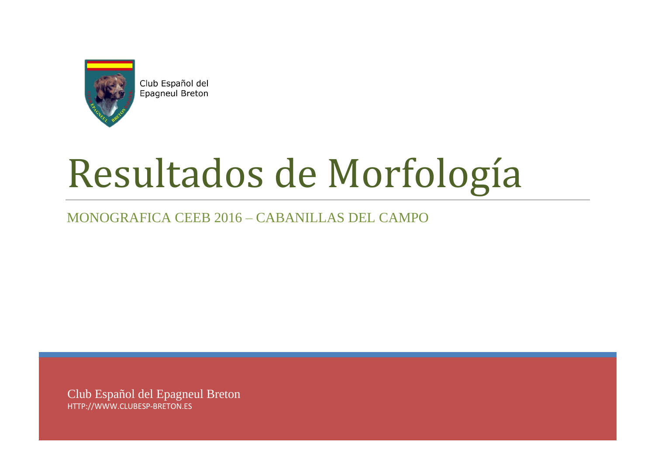

Club Español del Epagneul Breton

# Resultados de Morfología

MONOGRAFICA CEEB 2016 – CABANILLAS DEL CAMPO

Club Español del Epagneul Breton HTTP://WWW.CLUBESP-BRETON.ES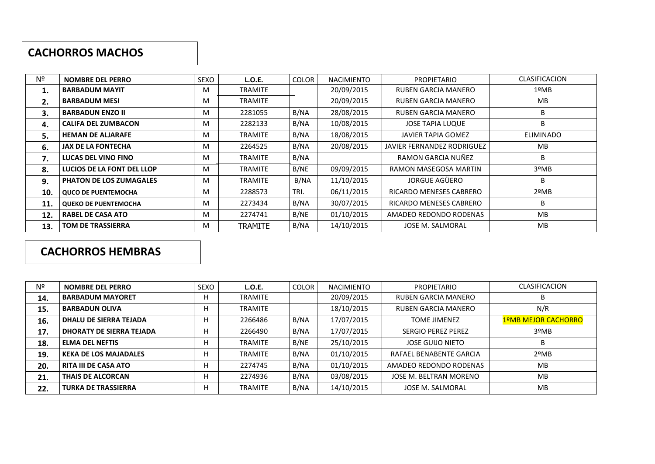#### **CACHORROS MACHOS**

| Nº  | <b>NOMBRE DEL PERRO</b>        | <b>SEXO</b> | <b>L.O.E.</b>  | <b>COLOR</b> | <b>NACIMIENTO</b> | <b>PROPIETARIO</b>         | <b>CLASIFICACION</b> |
|-----|--------------------------------|-------------|----------------|--------------|-------------------|----------------------------|----------------------|
| 1.  | <b>BARBADUM MAYIT</b>          | M           | <b>TRAMITE</b> |              | 20/09/2015        | RUBEN GARCIA MANERO        | 1ºMB                 |
| 2.  | <b>BARBADUM MESI</b>           | M           | <b>TRAMITE</b> |              | 20/09/2015        | RUBEN GARCIA MANERO        | МB                   |
| 3.  | <b>BARBADUN ENZO II</b>        | M           | 2281055        | B/NA         | 28/08/2015        | RUBEN GARCIA MANERO        | B                    |
| 4.  | <b>CALIFA DEL ZUMBACON</b>     | M           | 2282133        | B/NA         | 10/08/2015        | <b>JOSE TAPIA LUQUE</b>    | B                    |
| 5.  | <b>HEMAN DE ALJARAFE</b>       | M           | <b>TRAMITE</b> | B/NA         | 18/08/2015        | JAVIER TAPIA GOMEZ         | ELIMINADO            |
| 6.  | <b>JAX DE LA FONTECHA</b>      | M           | 2264525        | B/NA         | 20/08/2015        | JAVIER FERNANDEZ RODRIGUEZ | <b>MB</b>            |
| 7.  | LUCAS DEL VINO FINO            | M           | <b>TRAMITE</b> | B/NA         |                   | RAMON GARCIA NUÑEZ         | B                    |
| 8.  | LUCIOS DE LA FONT DEL LLOP     | M           | <b>TRAMITE</b> | B/NE         | 09/09/2015        | RAMON MASEGOSA MARTIN      | 3ºMB                 |
| 9.  | <b>PHATON DE LOS ZUMAGALES</b> | M           | <b>TRAMITE</b> | B/NA         | 11/10/2015        | JORGUE AGÜERO              | B                    |
| 10. | <b>QUCO DE PUENTEMOCHA</b>     | M           | 2288573        | TRI.         | 06/11/2015        | RICARDO MENESES CABRERO    | $2^{\circ}MB$        |
| 11. | <b>QUEKO DE PUENTEMOCHA</b>    | M           | 2273434        | B/NA         | 30/07/2015        | RICARDO MENESES CABRERO    | B                    |
| 12. | <b>RABEL DE CASA ATO</b>       | M           | 2274741        | B/NE         | 01/10/2015        | AMADEO REDONDO RODENAS     | <b>MB</b>            |
| 13. | <b>TOM DE TRASSIERRA</b>       | M           | <b>TRAMITE</b> | B/NA         | 14/10/2015        | JOSE M. SALMORAL           | МB                   |

## **CACHORROS HEMBRAS**

| Nº  | <b>NOMBRE DEL PERRO</b>         | <b>SEXO</b> | L.O.E.         | <b>COLOR</b> | <b>NACIMIENTO</b> | <b>PROPIETARIO</b>         | <b>CLASIFICACION</b> |
|-----|---------------------------------|-------------|----------------|--------------|-------------------|----------------------------|----------------------|
| 14. | <b>BARBADUM MAYORET</b>         |             | <b>TRAMITE</b> |              | 20/09/2015        | <b>RUBEN GARCIA MANERO</b> | B                    |
| 15. | <b>BARBADUN OLIVA</b>           |             | <b>TRAMITE</b> |              | 18/10/2015        | <b>RUBEN GARCIA MANERO</b> | N/R                  |
| 16. | <b>DHALU DE SIERRA TEJADA</b>   |             | 2266486        | B/NA         | 17/07/2015        | <b>TOME JIMENEZ</b>        | 1ºMB MEJOR CACHORRO  |
| 17. | <b>DHORATY DE SIERRA TEJADA</b> |             | 2266490        | B/NA         | 17/07/2015        | <b>SERGIO PEREZ PEREZ</b>  | 3ºMB                 |
| 18. | <b>ELMA DEL NEFTIS</b>          |             | <b>TRAMITE</b> | B/NE         | 25/10/2015        | <b>JOSE GUIJO NIETO</b>    | B                    |
| 19. | <b>KEKA DE LOS MAJADALES</b>    |             | <b>TRAMITE</b> | B/NA         | 01/10/2015        | RAFAEL BENABENTE GARCIA    | $2^{\circ}MB$        |
| 20. | <b>RITA III DE CASA ATO</b>     | г           | 2274745        | B/NA         | 01/10/2015        | AMADEO REDONDO RODENAS     | <b>MB</b>            |
| 21. | THAIS DE ALCORCAN               |             | 2274936        | B/NA         | 03/08/2015        | JOSE M. BELTRAN MORENO     | <b>MB</b>            |
| 22. | <b>TURKA DE TRASSIERRA</b>      | н           | <b>TRAMITE</b> | B/NA         | 14/10/2015        | JOSE M. SALMORAL           | <b>MB</b>            |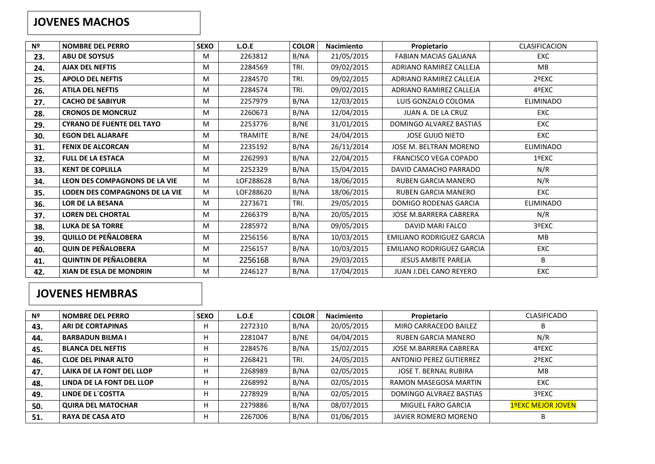#### **JOVENES MACHOS**

| Nº  | <b>NOMBRE DEL PERRO</b>               | <b>SEXO</b> | L.O.E          | <b>COLOR</b> | <b>Nacimiento</b> | Propietario                      | <b>CLASIFICACION</b> |
|-----|---------------------------------------|-------------|----------------|--------------|-------------------|----------------------------------|----------------------|
| 23. | <b>ABU DE SOYSUS</b>                  | M           | 2263812        | B/NA         | 21/05/2015        | <b>FABIAN MACIAS GALIANA</b>     | <b>EXC</b>           |
| 24. | <b>AJAX DEL NEFTIS</b>                | M           | 2284569        | TRI.         | 09/02/2015        | ADRIANO RAMIREZ CALLEJA          | <b>MB</b>            |
| 25. | <b>APOLO DEL NEFTIS</b>               | M           | 2284570        | TRI.         | 09/02/2015        | ADRIANO RAMIREZ CALLEJA          | 2ºEXC                |
| 26. | <b>ATILA DEL NEFTIS</b>               | M           | 2284574        | TRI.         | 09/02/2015        | ADRIANO RAMIREZ CALLEJA          | 4ºEXC                |
| 27. | <b>CACHO DE SABIYUR</b>               | M           | 2257979        | B/NA         | 12/03/2015        | LUIS GONZALO COLOMA              | <b>ELIMINADO</b>     |
| 28. | <b>CRONOS DE MONCRUZ</b>              | M           | 2260673        | B/NA         | 12/04/2015        | JUAN A. DE LA CRUZ               | <b>EXC</b>           |
| 29. | <b>CYRANO DE FUENTE DEL TAYO</b>      | M           | 2253776        | B/NE         | 31/01/2015        | DOMINGO ALVAREZ BASTIAS          | EXC                  |
| 30. | <b>EGON DEL ALJARAFE</b>              | M           | <b>TRAMITE</b> | B/NE         | 24/04/2015        | <b>JOSE GUIJO NIETO</b>          | EXC                  |
| 31. | <b>FENIX DE ALCORCAN</b>              | M           | 2235192        | B/NA         | 26/11/2014        | JOSE M. BELTRAN MORENO           | <b>ELIMINADO</b>     |
| 32. | <b>FULL DE LA ESTACA</b>              | M           | 2262993        | B/NA         | 22/04/2015        | <b>FRANCISCO VEGA COPADO</b>     | 1ºEXC                |
| 33. | <b>KENT DE COPLILLA</b>               | M           | 2252329        | B/NA         | 15/04/2015        | DAVID CAMACHO PARRADO            | N/R                  |
| 34. | LEON DES COMPAGNONS DE LA VIE         | M           | LOF288628      | B/NA         | 18/06/2015        | <b>RUBEN GARCIA MANERO</b>       | N/R                  |
| 35. | <b>LODEN DES COMPAGNONS DE LA VIE</b> | M           | LOF288620      | B/NA         | 18/06/2015        | <b>RUBEN GARCIA MANERO</b>       | EXC                  |
| 36. | <b>LOR DE LA BESANA</b>               | M           | 2273671        | TRI.         | 29/05/2015        | <b>DOMIGO RODENAS GARCIA</b>     | <b>ELIMINADO</b>     |
| 37. | <b>LOREN DEL CHORTAL</b>              | M           | 2266379        | B/NA         | 20/05/2015        | <b>JOSE M.BARRERA CABRERA</b>    | N/R                  |
| 38. | <b>LUKA DE SA TORRE</b>               | M           | 2285972        | B/NA         | 09/05/2015        | DAVID MARI FALCO                 | 3ºEXC                |
| 39. | <b>QUILLO DE PEÑALOBERA</b>           | M           | 2256156        | B/NA         | 10/03/2015        | <b>EMILIANO RODRIGUEZ GARCIA</b> | MB                   |
| 40. | <b>QUIN DE PEÑALOBERA</b>             | M           | 2256157        | B/NA         | 10/03/2015        | <b>EMILIANO RODRIGUEZ GARCIA</b> | EXC                  |
| 41. | <b>QUINTIN DE PEÑALOBERA</b>          | M           | 2256168        | B/NA         | 29/03/2015        | <b>JESUS AMBITE PAREJA</b>       | B                    |
| 42. | <b>XIAN DE ESLA DE MONDRIN</b>        | M           | 2246127        | B/NA         | 17/04/2015        | JUAN J.DEL CANO REYERO           | EXC                  |

## **JOVENES HEMBRAS**

| Nº  | <b>NOMBRE DEL PERRO</b>    | <b>SEXO</b> | L.O.E   | <b>COLOR</b> | <b>Nacimiento</b> | Propietario                    | <b>CLASIFICADO</b>       |
|-----|----------------------------|-------------|---------|--------------|-------------------|--------------------------------|--------------------------|
| 43. | <b>ARI DE CORTAPINAS</b>   |             | 2272310 | B/NA         | 20/05/2015        | MIRO CARRACEDO BAILEZ          | B                        |
| 44. | <b>BARBADUN BILMA I</b>    |             | 2281047 | B/NE         | 04/04/2015        | RUBEN GARCIA MANERO            | N/R                      |
| 45. | <b>BLANCA DEL NEFTIS</b>   |             | 2284576 | B/NA         | 15/02/2015        | JOSE M.BARRERA CABRERA         | 4ºEXC                    |
| 46. | <b>CLOE DEL PINAR ALTO</b> |             | 2268421 | TRI.         | 24/05/2015        | <b>ANTONIO PEREZ GUTIERREZ</b> | 2ºEXC                    |
| 47. | LAIKA DE LA FONT DEL LLOP  |             | 2268989 | B/NA         | 02/05/2015        | JOSE T. BERNAL RUBIRA          | <b>MB</b>                |
| 48. | LINDA DE LA FONT DEL LLOP  |             | 2268992 | B/NA         | 02/05/2015        | RAMON MASEGOSA MARTIN          | <b>EXC</b>               |
| 49. | LINDE DE L'COSTTA          | г           | 2278929 | B/NA         | 02/05/2015        | DOMINGO ALVRAEZ BASTIAS        | 3ºEXC                    |
| 50. | <b>QUIRA DEL MATOCHAR</b>  |             | 2279886 | B/NA         | 08/07/2015        | MIGUEL FARO GARCIA             | <b>1ºEXC MEJOR JOVEN</b> |
| 51. | <b>RAYA DE CASA ATO</b>    | н           | 2267006 | B/NA         | 01/06/2015        | JAVIER ROMERO MORENO           | B                        |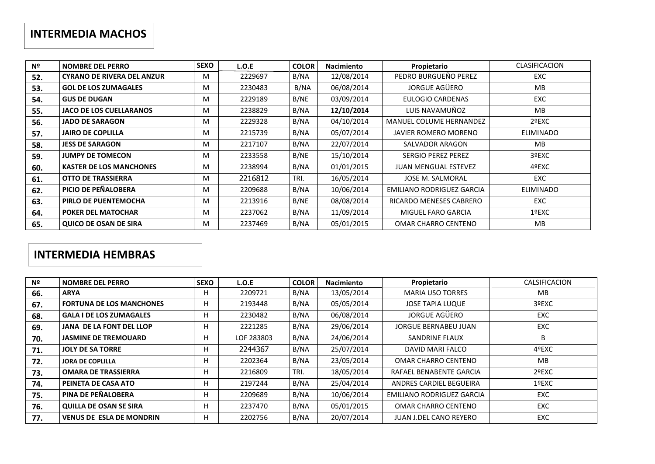## **INTERMEDIA MACHOS**

| Nº  | <b>NOMBRE DEL PERRO</b>           | <b>SEXO</b> | L.O.E   | <b>COLOR</b> | <b>Nacimiento</b> | Propietario                    | <b>CLASIFICACION</b> |
|-----|-----------------------------------|-------------|---------|--------------|-------------------|--------------------------------|----------------------|
| 52. | <b>CYRANO DE RIVERA DEL ANZUR</b> | M           | 2229697 | B/NA         | 12/08/2014        | PEDRO BURGUEÑO PEREZ           | <b>EXC</b>           |
| 53. | <b>GOL DE LOS ZUMAGALES</b>       | м           | 2230483 | B/NA         | 06/08/2014        | JORGUE AGÜERO                  | <b>MB</b>            |
| 54. | <b>GUS DE DUGAN</b>               | м           | 2229189 | B/NE         | 03/09/2014        | EULOGIO CARDENAS               | <b>EXC</b>           |
| 55. | <b>JACO DE LOS CUELLARANOS</b>    | M           | 2238829 | B/NA         | 12/10/2014        | LUIS NAVAMUÑOZ                 | <b>MB</b>            |
| 56. | <b>JADO DE SARAGON</b>            | M           | 2229328 | B/NA         | 04/10/2014        | <b>MANUEL COLUME HERNANDEZ</b> | 2ºEXC                |
| 57. | <b>JAIRO DE COPLILLA</b>          | м           | 2215739 | B/NA         | 05/07/2014        | JAVIER ROMERO MORENO           | <b>ELIMINADO</b>     |
| 58. | <b>JESS DE SARAGON</b>            | M           | 2217107 | B/NA         | 22/07/2014        | SALVADOR ARAGON                | <b>MB</b>            |
| 59. | <b>JUMPY DE TOMECON</b>           | M           | 2233558 | B/NE         | 15/10/2014        | <b>SERGIO PEREZ PEREZ</b>      | 3ºEXC                |
| 60. | <b>KASTER DE LOS MANCHONES</b>    | M           | 2238994 | B/NA         | 01/01/2015        | <b>JUAN MENGUAL ESTEVEZ</b>    | 4ºEXC                |
| 61. | <b>OTTO DE TRASSIERRA</b>         | м           | 2216812 | TRI.         | 16/05/2014        | <b>JOSE M. SALMORAL</b>        | EXC                  |
| 62. | PICIO DE PEÑALOBERA               | M           | 2209688 | B/NA         | 10/06/2014        | EMILIANO RODRIGUEZ GARCIA      | <b>ELIMINADO</b>     |
| 63. | PIRLO DE PUENTEMOCHA              | M           | 2213916 | B/NE         | 08/08/2014        | RICARDO MENESES CABRERO        | EXC                  |
| 64. | <b>POKER DEL MATOCHAR</b>         | M           | 2237062 | B/NA         | 11/09/2014        | MIGUEL FARO GARCIA             | 1ºEXC                |
| 65. | QUICO DE OSAN DE SIRA             | м           | 2237469 | B/NA         | 05/01/2015        | OMAR CHARRO CENTENO            | MB.                  |

## **INTERMEDIA HEMBRAS**

| Nº  | <b>NOMBRE DEL PERRO</b>         | <b>SEXO</b> | L.O.E      | <b>COLOR</b> | <b>Nacimiento</b> | Propietario                   | CALSIFICACION |
|-----|---------------------------------|-------------|------------|--------------|-------------------|-------------------------------|---------------|
| 66. | <b>ARYA</b>                     | п           | 2209721    | B/NA         | 13/05/2014        | <b>MARIA USO TORRES</b>       | MB            |
| 67. | <b>FORTUNA DE LOS MANCHONES</b> | н           | 2193448    | B/NA         | 05/05/2014        | <b>JOSE TAPIA LUQUE</b>       | 3ºEXC         |
| 68. | <b>GALA I DE LOS ZUMAGALES</b>  | н           | 2230482    | B/NA         | 06/08/2014        | JORGUE AGÜERO                 | <b>EXC</b>    |
| 69. | <b>JANA DE LA FONT DEL LLOP</b> | н           | 2221285    | B/NA         | 29/06/2014        | <b>JORGUE BERNABEU JUAN</b>   | <b>EXC</b>    |
| 70. | <b>JASMINE DE TREMOUARD</b>     | н           | LOF 283803 | B/NA         | 24/06/2014        | SANDRINE FLAUX                | B             |
| 71. | <b>JOLY DE SA TORRE</b>         | н           | 2244367    | B/NA         | 25/07/2014        | DAVID MARI FALCO              | 4ºEXC         |
| 72. | <b>JORA DE COPLILLA</b>         | н           | 2202364    | B/NA         | 23/05/2014        | OMAR CHARRO CENTENO           | <b>MB</b>     |
| 73. | <b>OMARA DE TRASSIERRA</b>      | н           | 2216809    | TRI.         | 18/05/2014        | RAFAEL BENABENTE GARCIA       | 2ºEXC         |
| 74. | PEINETA DE CASA ATO             | н           | 2197244    | B/NA         | 25/04/2014        | ANDRES CARDIEL BEGUEIRA       | 1ºEXC         |
| 75. | PINA DE PEÑALOBERA              | H           | 2209689    | B/NA         | 10/06/2014        | EMILIANO RODRIGUEZ GARCIA     | <b>EXC</b>    |
| 76. | <b>QUILLA DE OSAN SE SIRA</b>   | н           | 2237470    | B/NA         | 05/01/2015        | OMAR CHARRO CENTENO           | <b>EXC</b>    |
| 77. | <b>VENUS DE ESLA DE MONDRIN</b> | н           | 2202756    | B/NA         | 20/07/2014        | <b>JUAN J.DEL CANO REYERO</b> | <b>EXC</b>    |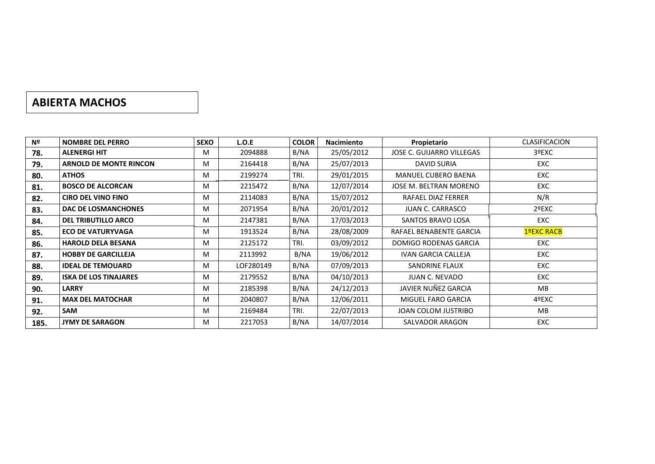## **ABIERTA MACHOS**

| Nº   | <b>NOMBRE DEL PERRO</b>       | <b>SEXO</b> | L.O.E     | <b>COLOR</b> | <b>Nacimiento</b> | Propietario                | <b>CLASIFICACION</b> |
|------|-------------------------------|-------------|-----------|--------------|-------------------|----------------------------|----------------------|
| 78.  | <b>ALENERGI HIT</b>           | M           | 2094888   | B/NA         | 25/05/2012        | JOSE C. GUIJARRO VILLEGAS  | 3ºEXC                |
| 79.  | <b>ARNOLD DE MONTE RINCON</b> | M           | 2164418   | B/NA         | 25/07/2013        | <b>DAVID SURIA</b>         | <b>EXC</b>           |
| 80.  | <b>ATHOS</b>                  | M           | 2199274   | TRI.         | 29/01/2015        | <b>MANUEL CUBERO BAENA</b> | <b>EXC</b>           |
| 81.  | <b>BOSCO DE ALCORCAN</b>      | M           | 2215472   | B/NA         | 12/07/2014        | JOSE M. BELTRAN MORENO     | EXC                  |
| 82.  | <b>CIRO DEL VINO FINO</b>     | M           | 2114083   | B/NA         | 15/07/2012        | RAFAEL DIAZ FERRER         | N/R                  |
| 83.  | DAC DE LOSMANCHONES           | M           | 2071954   | B/NA         | 20/01/2012        | <b>JUAN C. CARRASCO</b>    | 2ºEXC                |
| 84.  | <b>DEL TRIBUTILLO ARCO</b>    | M           | 2147381   | B/NA         | 17/03/2013        | SANTOS BRAVO LOSA          | <b>EXC</b>           |
| 85.  | <b>ECO DE VATURYVAGA</b>      | M           | 1913524   | B/NA         | 28/08/2009        | RAFAEL BENABENTE GARCIA    | 1ºEXC RACB           |
| 86.  | <b>HAROLD DELA BESANA</b>     | м           | 2125172   | TRI.         | 03/09/2012        | DOMIGO RODENAS GARCIA      | <b>EXC</b>           |
| 87.  | <b>HOBBY DE GARCILLEJA</b>    | M           | 2113992   | B/NA         | 19/06/2012        | <b>IVAN GARCIA CALLEJA</b> | EXC                  |
| 88.  | <b>IDEAL DE TEMOUARD</b>      | M           | LOF280149 | B/NA         | 07/09/2013        | SANDRINE FLAUX             | EXC                  |
| 89.  | <b>ISKA DE LOS TINAJARES</b>  | M           | 2179552   | B/NA         | 04/10/2013        | JUAN C. NEVADO             | EXC                  |
| 90.  | <b>LARRY</b>                  | M           | 2185398   | B/NA         | 24/12/2013        | JAVIER NUÑEZ GARCIA        | <b>MB</b>            |
| 91.  | <b>MAX DEL MATOCHAR</b>       | M           | 2040807   | B/NA         | 12/06/2011        | MIGUEL FARO GARCIA         | 4ºEXC                |
| 92.  | <b>SAM</b>                    | M           | 2169484   | TRI.         | 22/07/2013        | JOAN COLOM JUSTRIBO        | MB.                  |
| 185. | <b>JYMY DE SARAGON</b>        | M           | 2217053   | B/NA         | 14/07/2014        | SALVADOR ARAGON            | EXC                  |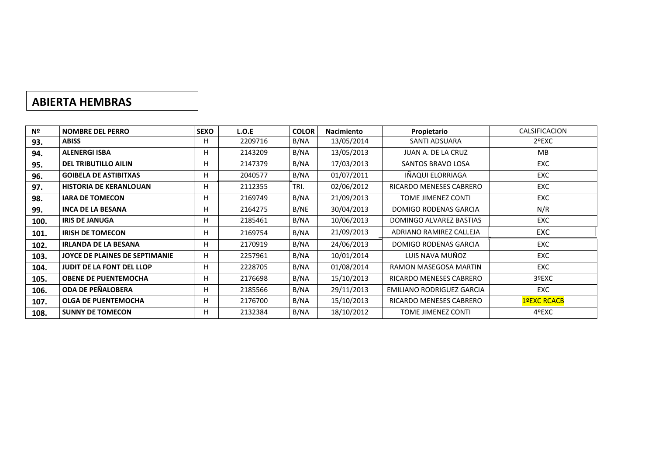## **ABIERTA HEMBRAS**

| Nº   | <b>NOMBRE DEL PERRO</b>          | <b>SEXO</b> | L.O.E   | <b>COLOR</b> | <b>Nacimiento</b> | Propietario               | CALSIFICACION |
|------|----------------------------------|-------------|---------|--------------|-------------------|---------------------------|---------------|
| 93.  | <b>ABISS</b>                     | н           | 2209716 | B/NA         | 13/05/2014        | SANTI ADSUARA             | 2ºEXC         |
| 94.  | <b>ALENERGI ISBA</b>             | н           | 2143209 | B/NA         | 13/05/2013        | JUAN A. DE LA CRUZ        | <b>MB</b>     |
| 95.  | <b>DEL TRIBUTILLO AILIN</b>      | H           | 2147379 | B/NA         | 17/03/2013        | SANTOS BRAVO LOSA         | <b>EXC</b>    |
| 96.  | <b>GOIBELA DE ASTIBITXAS</b>     | н           | 2040577 | B/NA         | 01/07/2011        | IÑAQUI ELORRIAGA          | <b>EXC</b>    |
| 97.  | <b>HISTORIA DE KERANLOUAN</b>    | н           | 2112355 | TRI.         | 02/06/2012        | RICARDO MENESES CABRERO   | EXC           |
| 98.  | <b>IARA DE TOMECON</b>           | н           | 2169749 | B/NA         | 21/09/2013        | TOME JIMENEZ CONTI        | <b>EXC</b>    |
| 99.  | <b>INCA DE LA BESANA</b>         | н           | 2164275 | B/NE         | 30/04/2013        | DOMIGO RODENAS GARCIA     | N/R           |
| 100. | <b>IRIS DE JANUGA</b>            | н           | 2185461 | B/NA         | 10/06/2013        | DOMINGO ALVAREZ BASTIAS   | <b>EXC</b>    |
| 101. | <b>IRISH DE TOMECON</b>          | н           | 2169754 | B/NA         | 21/09/2013        | ADRIANO RAMIREZ CALLEJA   | EXC           |
| 102. | <b>IRLANDA DE LA BESANA</b>      | н           | 2170919 | B/NA         | 24/06/2013        | DOMIGO RODENAS GARCIA     | <b>EXC</b>    |
| 103. | JOYCE DE PLAINES DE SEPTIMANIE   | н           | 2257961 | B/NA         | 10/01/2014        | LUIS NAVA MUÑOZ           | EXC           |
| 104. | <b>JUDIT DE LA FONT DEL LLOP</b> | н           | 2228705 | B/NA         | 01/08/2014        | RAMON MASEGOSA MARTIN     | <b>EXC</b>    |
| 105. | <b>OBENE DE PUENTEMOCHA</b>      | н           | 2176698 | B/NA         | 15/10/2013        | RICARDO MENESES CABRERO   | 3ºEXC         |
| 106. | <b>ODA DE PEÑALOBERA</b>         | н           | 2185566 | B/NA         | 29/11/2013        | EMILIANO RODRIGUEZ GARCIA | <b>EXC</b>    |
| 107. | <b>OLGA DE PUENTEMOCHA</b>       | н           | 2176700 | B/NA         | 15/10/2013        | RICARDO MENESES CABRERO   | 1ºEXC RCACB   |
| 108. | <b>SUNNY DE TOMECON</b>          | н           | 2132384 | B/NA         | 18/10/2012        | TOME JIMENEZ CONTI        | 4ºEXC         |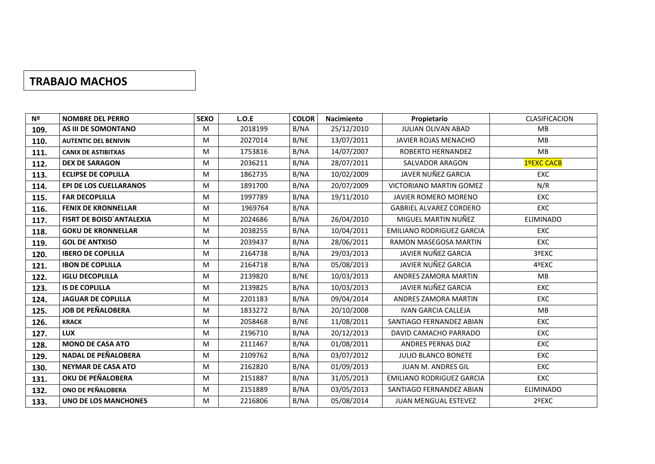#### **TRABAJO MACHOS**

| Nº   | <b>NOMBRE DEL PERRO</b>       | <b>SEXO</b> | L.O.E   | <b>COLOR</b> | Nacimiento | Propietario                      | CLASIFICACION    |
|------|-------------------------------|-------------|---------|--------------|------------|----------------------------------|------------------|
| 109. | AS III DE SOMONTANO           | M           | 2018199 | B/NA         | 25/12/2010 | <b>JULIAN OLIVAN ABAD</b>        | MB               |
| 110. | <b>AUTENTIC DEL BENIVIN</b>   | M           | 2027014 | B/NE         | 13/07/2011 | <b>JAVIER ROJAS MENACHO</b>      | MB               |
| 111. | <b>CANIX DE ASTIBITXAS</b>    | M           | 1753816 | B/NA         | 14/07/2007 | ROBERTO HERNANDEZ                | MB               |
| 112. | <b>DEX DE SARAGON</b>         | M           | 2036211 | B/NA         | 28/07/2011 | SALVADOR ARAGON                  | 1ºEXC CACB       |
| 113. | <b>ECLIPSE DE COPLILLA</b>    | M           | 1862735 | B/NA         | 10/02/2009 | JAVER NUÑEZ GARCIA               | <b>EXC</b>       |
| 114. | <b>EPI DE LOS CUELLARANOS</b> | M           | 1891700 | B/NA         | 20/07/2009 | <b>VICTORIANO MARTIN GOMEZ</b>   | N/R              |
| 115. | <b>FAR DECOPLILLA</b>         | M           | 1997789 | B/NA         | 19/11/2010 | <b>JAVIER ROMERO MORENO</b>      | <b>EXC</b>       |
| 116. | <b>FENIX DE KRONNELLAR</b>    | M           | 1969764 | B/NA         |            | <b>GABRIEL ALVAREZ CORDERO</b>   | EXC              |
| 117. | FISRT DE BOISD'ANTALEXIA      | M           | 2024686 | B/NA         | 26/04/2010 | MIGUEL MARTIN NUÑEZ              | <b>ELIMINADO</b> |
| 118. | <b>GOKU DE KRONNELLAR</b>     | M           | 2038255 | B/NA         | 10/04/2011 | <b>EMILIANO RODRIGUEZ GARCIA</b> | <b>EXC</b>       |
| 119. | <b>GOL DE ANTXISO</b>         | M           | 2039437 | B/NA         | 28/06/2011 | RAMON MASEGOSA MARTIN            | <b>EXC</b>       |
| 120. | <b>IBERO DE COPLILLA</b>      | M           | 2164738 | B/NA         | 29/03/2013 | JAVIER NUÑEZ GARCIA              | 3ºEXC            |
| 121. | <b>IBON DE COPLILLA</b>       | M           | 2164718 | B/NA         | 05/08/2013 | JAVIER NUÑEZ GARCIA              | 4ºEXC            |
| 122. | <b>IGLU DECOPLILLA</b>        | M           | 2139820 | B/NE         | 10/03/2013 | <b>ANDRES ZAMORA MARTIN</b>      | <b>MB</b>        |
| 123. | <b>IS DE COPLILLA</b>         | M           | 2139825 | B/NA         | 10/03/2013 | JAVIER NUÑEZ GARCIA              | <b>EXC</b>       |
| 124. | <b>JAGUAR DE COPLILLA</b>     | M           | 2201183 | B/NA         | 09/04/2014 | <b>ANDRES ZAMORA MARTIN</b>      | EXC              |
| 125. | <b>JOB DE PEÑALOBERA</b>      | M           | 1833272 | B/NA         | 20/10/2008 | <b>IVAN GARCIA CALLEJA</b>       | <b>MB</b>        |
| 126. | <b>KRACK</b>                  | M           | 2058468 | B/NE         | 11/08/2011 | SANTIAGO FERNANDEZ ABIAN         | EXC              |
| 127. | <b>LUX</b>                    | M           | 2196710 | B/NA         | 20/12/2013 | DAVID CAMACHO PARRADO            | EXC              |
| 128. | <b>MONO DE CASA ATO</b>       | M           | 2111467 | B/NA         | 01/08/2011 | ANDRES PERNAS DIAZ               | <b>EXC</b>       |
| 129. | <b>NADAL DE PEÑALOBERA</b>    | M           | 2109762 | B/NA         | 03/07/2012 | JULIO BLANCO BONETE              | <b>EXC</b>       |
| 130. | <b>NEYMAR DE CASA ATO</b>     | M           | 2162820 | B/NA         | 01/09/2013 | <b>JUAN M. ANDRES GIL</b>        | EXC              |
| 131. | OKU DE PEÑALOBERA             | M           | 2151887 | B/NA         | 31/05/2013 | EMILIANO RODRIGUEZ GARCIA        | EXC              |
| 132. | ONO DE PEÑALOBERA             | M           | 2151889 | B/NA         | 03/05/2013 | SANTIAGO FERNANDEZ ABIAN         | ELIMINADO        |
| 133. | <b>UNO DE LOS MANCHONES</b>   | M           | 2216806 | B/NA         | 05/08/2014 | <b>JUAN MENGUAL ESTEVEZ</b>      | 2ºEXC            |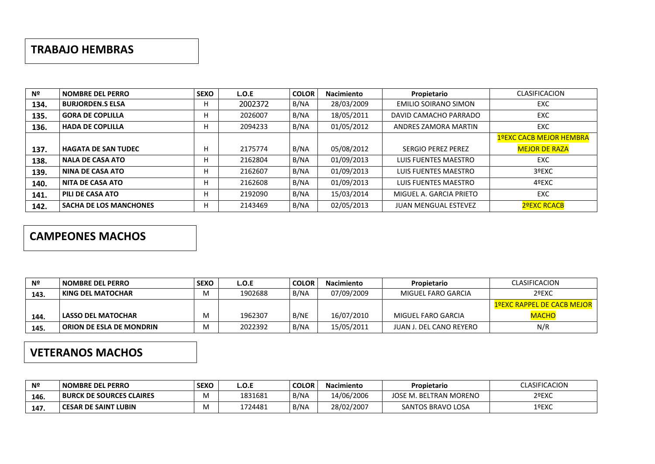#### **TRABAJO HEMBRAS**

| Nº   | <b>NOMBRE DEL PERRO</b>       | <b>SEXO</b> | L.O.E   | <b>COLOR</b> | <b>Nacimiento</b> | Propietario                 | <b>CLASIFICACION</b>           |
|------|-------------------------------|-------------|---------|--------------|-------------------|-----------------------------|--------------------------------|
| 134. | <b>BURJORDEN.S ELSA</b>       | н           | 2002372 | B/NA         | 28/03/2009        | <b>EMILIO SOIRANO SIMON</b> | <b>EXC</b>                     |
| 135. | <b>GORA DE COPLILLA</b>       |             | 2026007 | B/NA         | 18/05/2011        | DAVID CAMACHO PARRADO       | <b>EXC</b>                     |
| 136. | <b>HADA DE COPLILLA</b>       |             | 2094233 | B/NA         | 01/05/2012        | ANDRES ZAMORA MARTIN        | EXC                            |
|      |                               |             |         |              |                   |                             | <b>1ºEXC CACB MEJOR HEMBRA</b> |
| 137. | <b>HAGATA DE SAN TUDEC</b>    | н           | 2175774 | B/NA         | 05/08/2012        | <b>SERGIO PEREZ PEREZ</b>   | <b>MEJOR DE RAZA</b>           |
| 138. | <b>NALA DE CASA ATO</b>       | н           | 2162804 | B/NA         | 01/09/2013        | LUIS FUENTES MAESTRO        | <b>EXC</b>                     |
| 139. | <b>NINA DE CASA ATO</b>       |             | 2162607 | B/NA         | 01/09/2013        | LUIS FUENTES MAESTRO        | 3ºEXC                          |
| 140. | <b>NITA DE CASA ATO</b>       | н           | 2162608 | B/NA         | 01/09/2013        | LUIS FUENTES MAESTRO        | 4ºEXC                          |
| 141. | PILI DE CASA ATO              |             | 2192090 | B/NA         | 15/03/2014        | MIGUEL A. GARCIA PRIETO     | EXC                            |
| 142. | <b>SACHA DE LOS MANCHONES</b> | н           | 2143469 | B/NA         | 02/05/2013        | <b>JUAN MENGUAL ESTEVEZ</b> | 2ºEXC RCACB                    |

## **CAMPEONES MACHOS**

| Nº   | NOMBRE DEL PERRO                | <b>SEXO</b> | L.O.E   | <b>COLOR</b> | <b>Nacimiento</b> | Propietario             | <b>CLASIFICACION</b>              |
|------|---------------------------------|-------------|---------|--------------|-------------------|-------------------------|-----------------------------------|
| 143. | KING DEL MATOCHAR               | M           | 1902688 | B/NA         | 07/09/2009        | MIGUEL FARO GARCIA      | 2ºEXC                             |
|      |                                 |             |         |              |                   |                         | <b>1ºEXC RAPPEL DE CACB MEJOR</b> |
| 144. | <b>LASSO DEL MATOCHAR</b>       | м           | 1962307 | B/NE         | 16/07/2010        | MIGUEL FARO GARCIA      | <b>MACHO</b>                      |
| 145. | <b>ORION DE ESLA DE MONDRIN</b> | M           | 2022392 | B/NA         | 15/05/2011        | JUAN J. DEL CANO REYERO | N/R                               |

## **VETERANOS MACHOS**

| Nº   | <b>NOMBRE DEL PERRO</b>         | <b>SEXO</b> | L.O.E   | <b>COLOR</b> | <b>Nacimiento</b> | Propietario            | CLASIFICACION |
|------|---------------------------------|-------------|---------|--------------|-------------------|------------------------|---------------|
| 146. | <b>BURCK DE SOURCES CLAIRES</b> | M           | 1831681 | B/NA         | 14/06/2006        | JOSE M. BELTRAN MORENO | 2ºEXC         |
| 147. | <b>CESAR DE SAINT LUBIN</b>     | M           | 1724481 | B/NA         | 28/02/2007        | SANTOS BRAVO LOSA      | 1ºEXC         |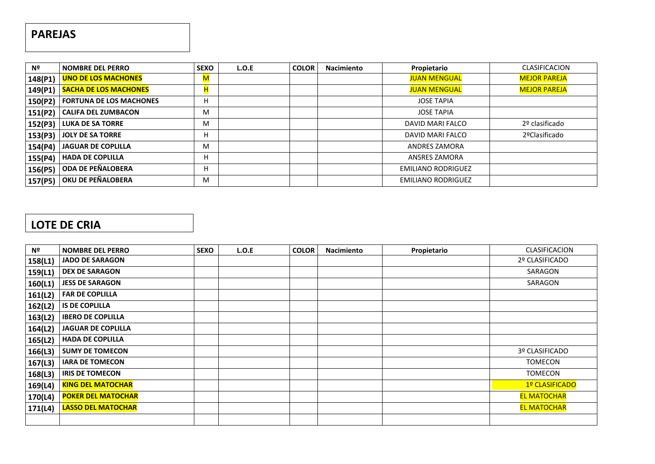## **PAREJAS**

| Nº      | <b>NOMBRE DEL PERRO</b>        | <b>SEXO</b> | L.O.E | <b>COLOR</b> | <b>Nacimiento</b> | Propietario               | <b>CLASIFICACION</b> |
|---------|--------------------------------|-------------|-------|--------------|-------------------|---------------------------|----------------------|
| 148(P1) | <b>UNO DE LOS MACHONES</b>     | M           |       |              |                   | <b>JUAN MENGUAL</b>       | <b>MEJOR PAREJA</b>  |
| 149(P1) | <b>SACHA DE LOS MACHONES</b>   |             |       |              |                   | <b>JUAN MENGUAL</b>       | <b>MEJOR PAREJA</b>  |
| 150(P2) | <b>FORTUNA DE LOS MACHONES</b> | H           |       |              |                   | <b>JOSE TAPIA</b>         |                      |
| 151(P2) | <b>CALIFA DEL ZUMBACON</b>     | м           |       |              |                   | <b>JOSE TAPIA</b>         |                      |
| 152(P3) | <b>LUKA DE SA TORRE</b>        | M           |       |              |                   | DAVID MARI FALCO          | 2º clasificado       |
| 153(P3) | <b>JOLY DE SA TORRE</b>        | H           |       |              |                   | DAVID MARI FALCO          | 2ºClasificado        |
| 154(P4) | <b>JAGUAR DE COPLILLA</b>      | м           |       |              |                   | ANDRES ZAMORA             |                      |
| 155(P4) | <b>HADA DE COPLILLA</b>        | H           |       |              |                   | <b>ANSRES ZAMORA</b>      |                      |
| 156(P5) | ODA DE PEÑALOBERA              | Н           |       |              |                   | <b>EMILIANO RODRIGUEZ</b> |                      |
| 157(P5) | OKU DE PEÑALOBERA              | м           |       |              |                   | <b>EMILIANO RODRIGUEZ</b> |                      |

## **LOTE DE CRIA**

| Nº      | <b>NOMBRE DEL PERRO</b>   | <b>SEXO</b> | L.O.E | <b>COLOR</b> | <b>Nacimiento</b> | Propietario | <b>CLASIFICACION</b> |
|---------|---------------------------|-------------|-------|--------------|-------------------|-------------|----------------------|
| 158(L1) | <b>JADO DE SARAGON</b>    |             |       |              |                   |             | 2º CLASIFICADO       |
| 159(L1) | <b>DEX DE SARAGON</b>     |             |       |              |                   |             | SARAGON              |
| 160(L1) | <b>JESS DE SARAGON</b>    |             |       |              |                   |             | SARAGON              |
| 161(L2) | <b>FAR DE COPLILLA</b>    |             |       |              |                   |             |                      |
| 162(L2) | <b>IS DE COPLILLA</b>     |             |       |              |                   |             |                      |
| 163(L2) | <b>IBERO DE COPLILLA</b>  |             |       |              |                   |             |                      |
| 164(L2) | <b>JAGUAR DE COPLILLA</b> |             |       |              |                   |             |                      |
| 165(L2) | <b>HADA DE COPLILLA</b>   |             |       |              |                   |             |                      |
| 166(L3) | <b>SUMY DE TOMECON</b>    |             |       |              |                   |             | 3º CLASIFICADO       |
| 167(L3) | <b>IARA DE TOMECON</b>    |             |       |              |                   |             | <b>TOMECON</b>       |
| 168(L3) | <b>IRIS DE TOMECON</b>    |             |       |              |                   |             | <b>TOMECON</b>       |
| 169(L4) | <b>KING DEL MATOCHAR</b>  |             |       |              |                   |             | 1º CLASIFICADO       |
| 170(L4) | <b>POKER DEL MATOCHAR</b> |             |       |              |                   |             | <b>EL MATOCHAR</b>   |
| 171(L4) | <b>LASSO DEL MATOCHAR</b> |             |       |              |                   |             | <b>EL MATOCHAR</b>   |
|         |                           |             |       |              |                   |             |                      |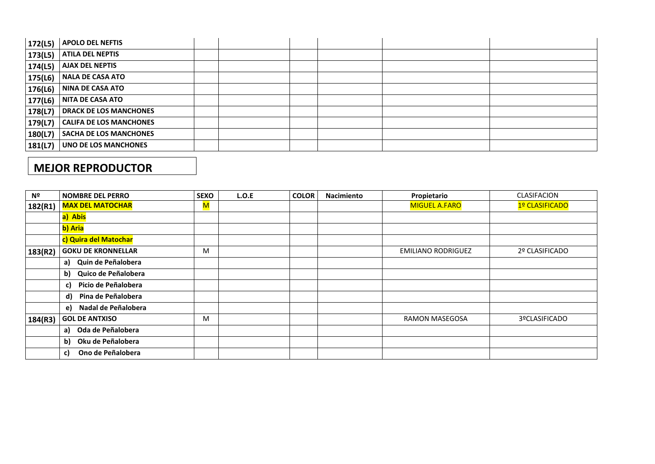| 172(L5) | <b>APOLO DEL NEFTIS</b>       |  |  |  |
|---------|-------------------------------|--|--|--|
| 173(L5) | <b>ATILA DEL NEPTIS</b>       |  |  |  |
| 174(L5) | <b>AJAX DEL NEPTIS</b>        |  |  |  |
| 175(L6) | NALA DE CASA ATO              |  |  |  |
| 176(L6) | NINA DE CASA ATO              |  |  |  |
| 177(L6) | NITA DE CASA ATO              |  |  |  |
| 178(L7) | <b>DRACK DE LOS MANCHONES</b> |  |  |  |
| 179(L7) | CALIFA DE LOS MANCHONES       |  |  |  |
| 180(L7) | <b>SACHA DE LOS MANCHONES</b> |  |  |  |
| 181(L7) | UNO DE LOS MANCHONES          |  |  |  |

## **MEJOR REPRODUCTOR**

| Nº      | <b>NOMBRE DEL PERRO</b>   | <b>SEXO</b>                                                                                                | L.O.E | <b>COLOR</b> | <b>Nacimiento</b> | Propietario               | CLASIFACION    |
|---------|---------------------------|------------------------------------------------------------------------------------------------------------|-------|--------------|-------------------|---------------------------|----------------|
| 182(R1) | <b>MAX DEL MATOCHAR</b>   | $\mathsf{M}% _{T}=\mathsf{M}_{T}\!\left( a,b\right) ,\ \mathsf{M}_{T}=\mathsf{M}_{T}\!\left( a,b\right) ,$ |       |              |                   | <b>MIGUEL A.FARO</b>      | 1º CLASIFICADO |
|         | a) Abis                   |                                                                                                            |       |              |                   |                           |                |
|         | b) Aria                   |                                                                                                            |       |              |                   |                           |                |
|         | c) Quira del Matochar     |                                                                                                            |       |              |                   |                           |                |
| 183(R2) | <b>GOKU DE KRONNELLAR</b> | M                                                                                                          |       |              |                   | <b>EMILIANO RODRIGUEZ</b> | 2º CLASIFICADO |
|         | a) Quin de Peñalobera     |                                                                                                            |       |              |                   |                           |                |
|         | Quico de Peñalobera<br>b) |                                                                                                            |       |              |                   |                           |                |
|         | Picio de Peñalobera<br>c) |                                                                                                            |       |              |                   |                           |                |
|         | d) Pina de Peñalobera     |                                                                                                            |       |              |                   |                           |                |
|         | e) Nadal de Peñalobera    |                                                                                                            |       |              |                   |                           |                |
| 184(R3) | <b>GOL DE ANTXISO</b>     | M                                                                                                          |       |              |                   | <b>RAMON MASEGOSA</b>     | 3ºCLASIFICADO  |
|         | Oda de Peñalobera<br>a)   |                                                                                                            |       |              |                   |                           |                |
|         | Oku de Peñalobera<br>b)   |                                                                                                            |       |              |                   |                           |                |
|         | Ono de Peñalobera<br>C)   |                                                                                                            |       |              |                   |                           |                |